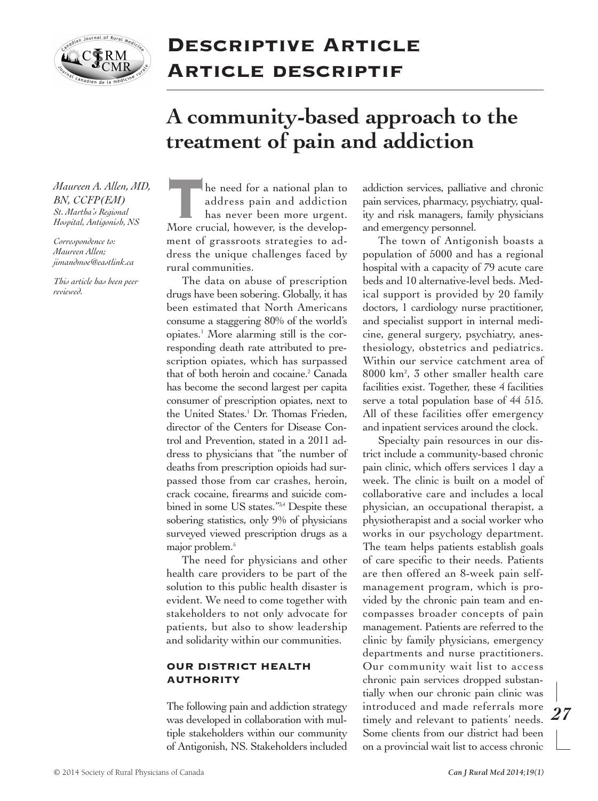

## **Descriptive Article Article descriptif**

## **A community-based approach to the treatment of pain and addiction**

 *Maureen A. Allen, MD, St. Martha's Regional Hospital, Antigonish, NS BN, CCFP(EM)*

*Correspondence to: Maureen Allen; [jimandmoe@eastlink.ca](mailto:jimandmoe@eastlink.ca)*

 *This article has been peer reviewed.*

he need for a national plan to address pain and addiction has never been more urgent. **the need for a national plan to**<br>
address pain and addiction<br>
has never been more urgent.<br>
More crucial, however, is the develop- ment of grassroots strategies to ad- dress the unique challenges faced by rural communities.

 The data on abuse of prescription drugs have been sobering. Globally, it has been estimated that North Americans consume a staggering 80% of the world's opiates.1 More alarming still is the cor- responding death rate attributed to pre- scription opiates, which has surpassed that of both heroin and cocaine.<sup>2</sup> Canada has become the second largest per capita consumer of prescription opiates, next to the United States.1 Dr. Thomas Frieden, director of the Centers for Disease Con- trol and Prevention, stated in a 2011 ad- dress to physicians that "the number of deaths from prescription opioids had sur- passed those from car crashes, heroin, crack cocaine, frearms and suicide combined in some US states."<sup>3,4</sup> Despite these sobering statistics, only 9% of physicians surveyed viewed prescription drugs as a major problem.5

 The need for physicians and other health care providers to be part of the solution to this public health disaster is evident. We need to come together with stakeholders to not only advocate for patients, but also to show leadership and solidarity within our communities.

## **OUR DISTRICT HEALTH AUTHORITY**

 The following pain and addiction strategy was developed in collaboration with mul- tiple stakeholders within our community of Antigonish, NS. Stakeholders included  addiction services, palliative and chronic pain services, pharmacy, psychiatry, qual- ity and risk managers, family physicians and emergency personnel.

 The town of Antigonish boasts a population of 5000 and has a regional hospital with a capacity of 79 acute care beds and 10 alternative-level beds. Med- ical support is provided by 20 family doctors, 1 cardiology nurse practitioner, and specialist support in internal medi- cine, general surgery, psychiatry, anes- thesiology, obstetrics and pediatrics. Within our service catchment area of 8000 km2 , 3 other smaller health care facilities exist. Together, these 4 facilities serve a total population base of 44 515. All of these facilities offer emergency and inpatient services around the clock.

 Specialty pain resources in our dis- trict include a community-based chronic pain clinic, which offers services 1 day a week. The clinic is built on a model of collaborative care and includes a local physician, an occupational therapist, a physiotherapist and a social worker who works in our psychology department. The team helps patients establish goals of care specifc to their needs. Patients are then offered an 8-week pain self- management program, which is pro- vided by the chronic pain team and en- compasses broader concepts of pain management. Patients are referred to the clinic by family physicians, emergency departments and nurse practitioners. Our community wait list to access chronic pain services dropped substan- tially when our chronic pain clinic was introduced and made referrals more timely and relevant to patients' needs. Some clients from our district had been on a provincial wait list to access chronic

*27*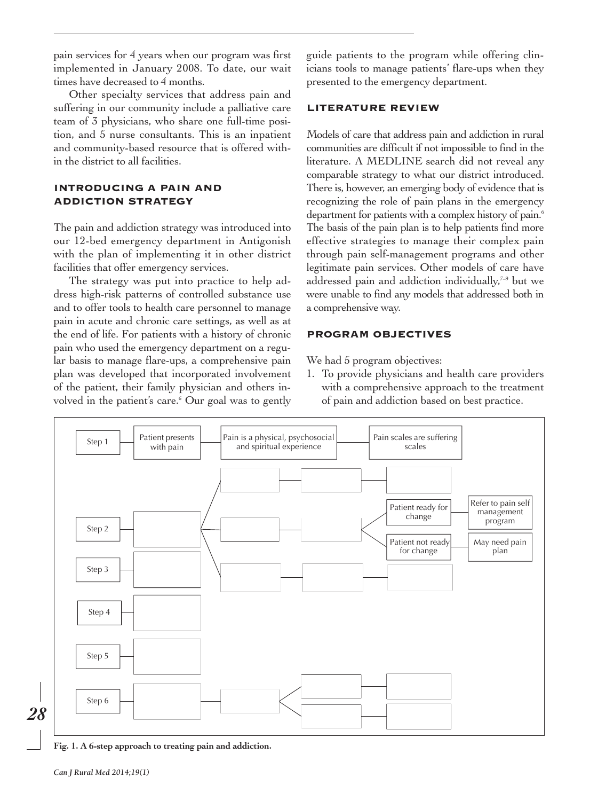pain services for 4 years when our program was frst guide patients to the program while offering clin implemented in January 2008. To date, our wait icians tools to manage patients' fare-ups when they times have decreased to 4 months. presented to the emergency department. pain services for 4 years when our program was first implemented in January 2008. To date, our wait times have decreased to 4 months.

Other specialty services that address pain and suffering in our community include a palliative care **LITERATURE REVIEW** team of 3 physicians, who share one full-time posi tion, and 5 nurse consultants. This is an inpatient Models of care that address pain and addiction in rural and community-based resource that is offered with- communities are diffcult if not impossible to fnd in the tion, and 5 nurse consultants. This is an inpatient and community-based resource that is offered within the district to all facilities.

# **INTRODUCING A PAIN AND**

The pain and addiction strategy was introduced into The basis of the pain plan is to help patients fnd more our 12-bed emergency department in Antigonish effective strategies to manage their complex pain with the plan of implementing it in other district through pain self-management programs and other The pain and addiction strategy was introduced into our 12-bed emergency department in Antigonish with the plan of implementing it in other district facilities that offer emergency services.

dress high-risk patterns of controlled substance use were unable to fnd any models that addressed both in and to offer tools to health care personnel to manage a comprehensive way. pain in acute and chronic care settings, as well as at the end of life. For patients with a history of chronic **PROGRAM OBJECTIVES** pain who used the emergency department on a regu lar basis to manage flare-ups, a comprehensive pain We had 5 program objectives: volved in the patient's care.6 Our goal was to gently of pain and addiction based on best practice. The strategy was put into practice to help adplan was developed that incorporated involvement

in the district to all facilities. literature. A MEDLINE search did not reveal any comparable strategy to what our district introduced. **INTRODUCING A PAIN AND** There is, however, an emerging body of evidence that is **ADDICTION STRATEGY** recognizing the role of pain plans in the emergency department for patients with a complex history of pain.6 facilities that offer emergency services. legitimate pain services. Other models of care have The strategy was put into practice to help ad-  $\;$  addressed pain and addiction individually, $^{7\text{-}9}$  but we were unable to find any models that addressed both in a comprehensive way.

We had 5 program objectives:

plan was developed that incorporated involvement 1. To provide physicians and health care providers of the patient, their family physician and others in- with a comprehensive approach to the treatment with a comprehensive approach to the treatment of pain and addiction based on best practice.



 **Fig. 1. A 6-step approach to treating pain and addiction.**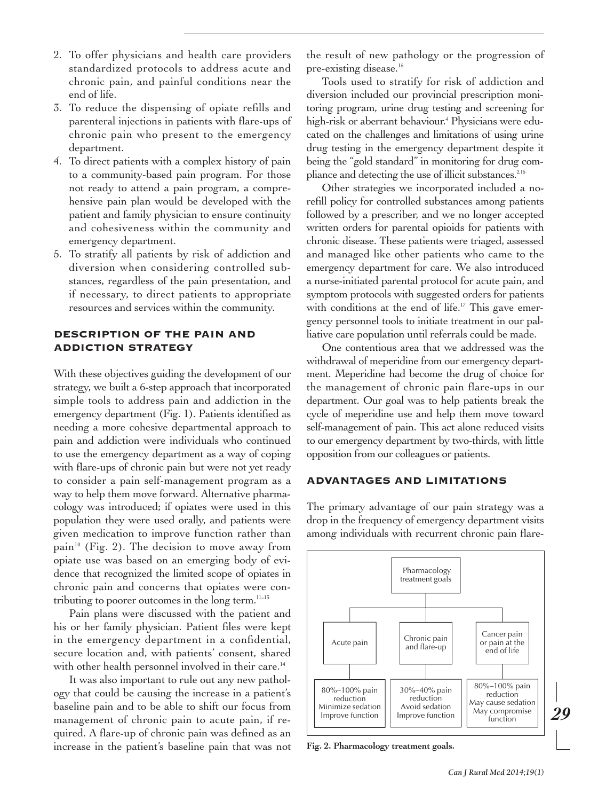- 2. To offer physicians and health care providers standardized protocols to address acute and chronic pain, and painful conditions near the end of life.
- 3. To reduce the dispensing of opiate reflls and parenteral injections in patients with fare-ups of chronic pain who present to the emergency department.
- 4. To direct patients with a complex history of pain to a community-based pain program. For those not ready to attend a pain program, a compre hensive pain plan would be developed with the patient and family physician to ensure continuity and cohesiveness within the community and emergency department.
- 5. To stratify all patients by risk of addiction and diversion when considering controlled sub stances, regardless of the pain presentation, and if necessary, to direct patients to appropriate resources and services within the community.

## **DESCRIPTION OF THE PAIN AND ADDICTION STRATEGY**

With these objectives guiding the development of our strategy, we built a 6-step approach that incorporated simple tools to address pain and addiction in the emergency department (Fig. 1). Patients identifed as needing a more cohesive departmental approach to pain and addiction were individuals who continued to use the emergency department as a way of coping with fare-ups of chronic pain but were not yet ready to consider a pain self-management program as a way to help them move forward. Alternative pharma cology was introduced; if opiates were used in this population they were used orally, and patients were given medication to improve function rather than pain<sup>10</sup> (Fig. 2). The decision to move away from opiate use was based on an emerging body of evi dence that recognized the limited scope of opiates in chronic pain and concerns that opiates were con tributing to poorer outcomes in the long term.11–13

Pain plans were discussed with the patient and his or her family physician. Patient fles were kept in the emergency department in a confdential, secure location and, with patients' consent, shared with other health personnel involved in their care.<sup>14</sup>

It was also important to rule out any new pathol ogy that could be causing the increase in a patient's baseline pain and to be able to shift our focus from management of chronic pain to acute pain, if re quired. A fare-up of chronic pain was defned as an increase in the patient's baseline pain that was not

the result of new pathology or the progression of pre-existing disease.<sup>15</sup>

Tools used to stratify for risk of addiction and diversion included our provincial prescription moni toring program, urine drug testing and screening for high-risk or aberrant behaviour.4 Physicians were edu cated on the challenges and limitations of using urine drug testing in the emergency department despite it being the "gold standard" in monitoring for drug com pliance and detecting the use of illicit substances.<sup>2,16</sup>

Other strategies we incorporated included a no refll policy for controlled substances among patients followed by a prescriber, and we no longer accepted written orders for parental opioids for patients with chronic disease. These patients were triaged, assessed and managed like other patients who came to the emergency department for care. We also introduced a nurse-initiated parental protocol for acute pain, and symptom protocols with suggested orders for patients with conditions at the end of life.<sup>17</sup> This gave emergency personnel tools to initiate treatment in our pal liative care population until referrals could be made.

One contentious area that we addressed was the withdrawal of meperidine from our emergency depart ment. Meperidine had become the drug of choice for the management of chronic pain fare-ups in our department. Our goal was to help patients break the cycle of meperidine use and help them move toward self-management of pain. This act alone reduced visits to our emergency department by two-thirds, with little opposition from our colleagues or patients.

## **ADVANTAGES AND LIMITATIONS**

The primary advantage of our pain strategy was a drop in the frequency of emergency department visits among individuals with recurrent chronic pain fare-



 **Fig. 2. Pharmacology treatment goals.**